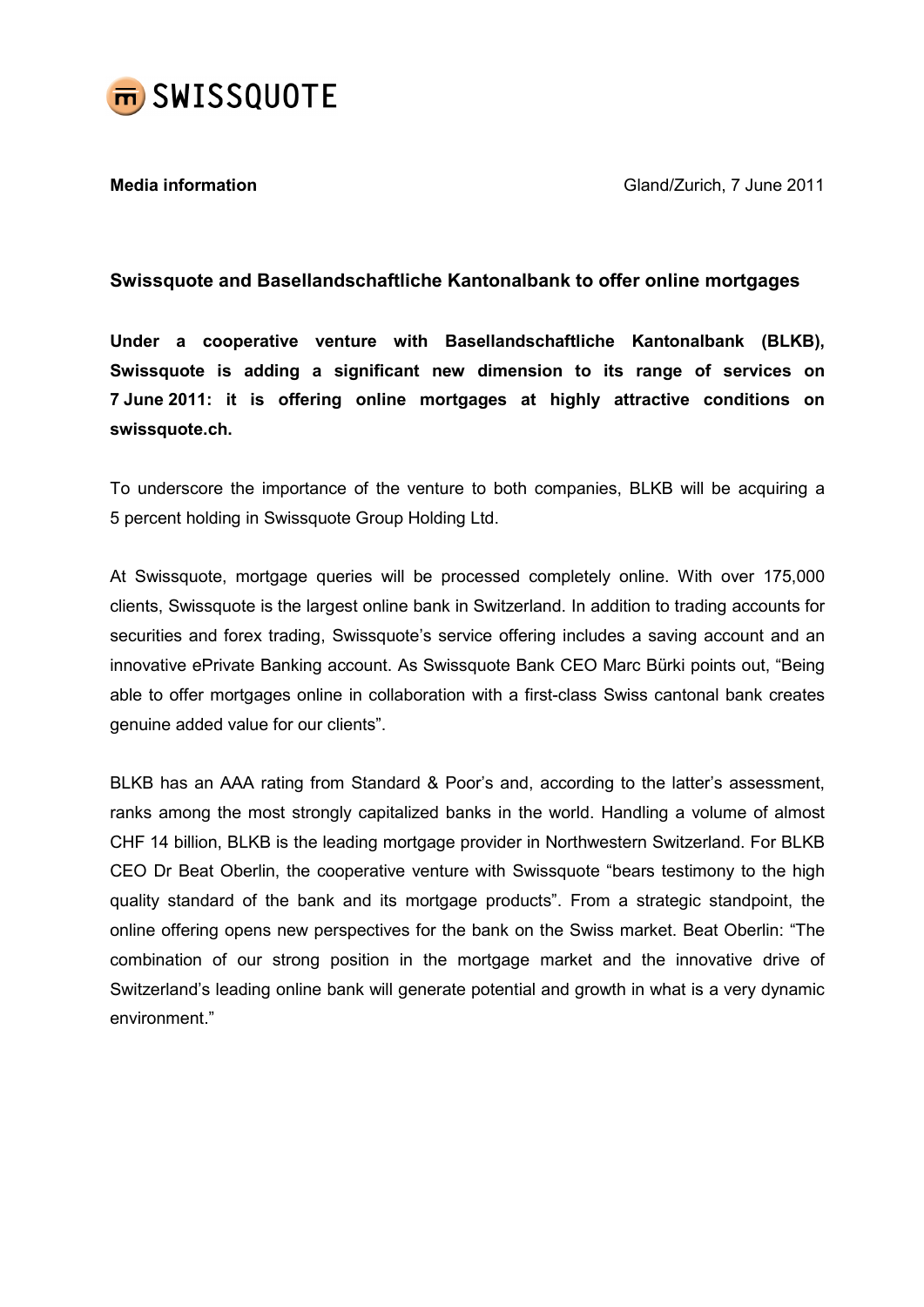

Media information Gland/Zurich, 7 June 2011

# Swissquote and Basellandschaftliche Kantonalbank to offer online mortgages

Under a cooperative venture with Basellandschaftliche Kantonalbank (BLKB), Swissquote is adding a significant new dimension to its range of services on 7 June 2011: it is offering online mortgages at highly attractive conditions on swissquote.ch.

To underscore the importance of the venture to both companies, BLKB will be acquiring a 5 percent holding in Swissquote Group Holding Ltd.

At Swissquote, mortgage queries will be processed completely online. With over 175,000 clients, Swissquote is the largest online bank in Switzerland. In addition to trading accounts for securities and forex trading, Swissquote's service offering includes a saving account and an innovative ePrivate Banking account. As Swissquote Bank CEO Marc Bürki points out, "Being able to offer mortgages online in collaboration with a first-class Swiss cantonal bank creates genuine added value for our clients".

BLKB has an AAA rating from Standard & Poor's and, according to the latter's assessment, ranks among the most strongly capitalized banks in the world. Handling a volume of almost CHF 14 billion, BLKB is the leading mortgage provider in Northwestern Switzerland. For BLKB CEO Dr Beat Oberlin, the cooperative venture with Swissquote "bears testimony to the high quality standard of the bank and its mortgage products". From a strategic standpoint, the online offering opens new perspectives for the bank on the Swiss market. Beat Oberlin: "The combination of our strong position in the mortgage market and the innovative drive of Switzerland's leading online bank will generate potential and growth in what is a very dynamic environment."